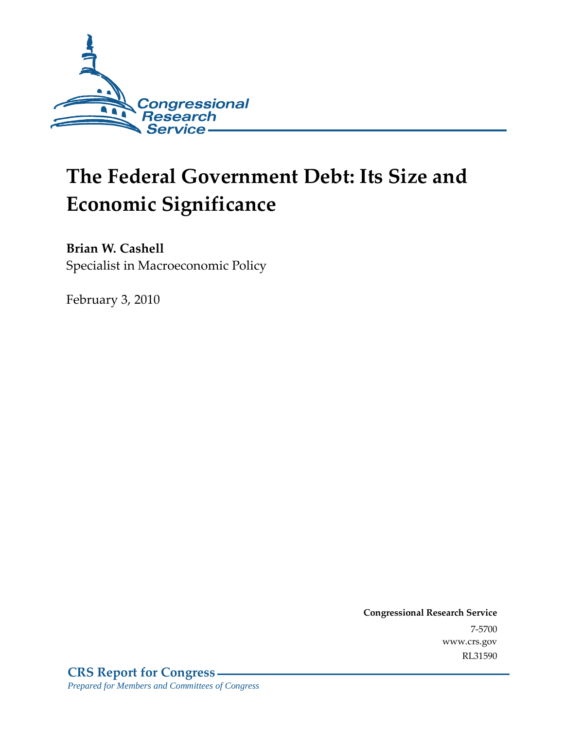

# **The Federal Government Debt: Its Size and Economic Significance**

**Brian W. Cashell** 

Specialist in Macroeconomic Policy

February 3, 2010

**Congressional Research Service** 7-5700 www.crs.gov RL31590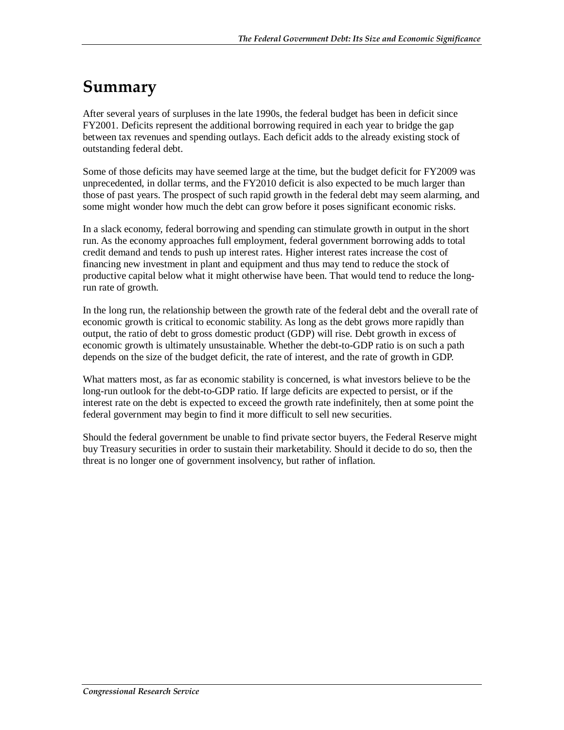### **Summary**

After several years of surpluses in the late 1990s, the federal budget has been in deficit since FY2001. Deficits represent the additional borrowing required in each year to bridge the gap between tax revenues and spending outlays. Each deficit adds to the already existing stock of outstanding federal debt.

Some of those deficits may have seemed large at the time, but the budget deficit for FY2009 was unprecedented, in dollar terms, and the FY2010 deficit is also expected to be much larger than those of past years. The prospect of such rapid growth in the federal debt may seem alarming, and some might wonder how much the debt can grow before it poses significant economic risks.

In a slack economy, federal borrowing and spending can stimulate growth in output in the short run. As the economy approaches full employment, federal government borrowing adds to total credit demand and tends to push up interest rates. Higher interest rates increase the cost of financing new investment in plant and equipment and thus may tend to reduce the stock of productive capital below what it might otherwise have been. That would tend to reduce the longrun rate of growth.

In the long run, the relationship between the growth rate of the federal debt and the overall rate of economic growth is critical to economic stability. As long as the debt grows more rapidly than output, the ratio of debt to gross domestic product (GDP) will rise. Debt growth in excess of economic growth is ultimately unsustainable. Whether the debt-to-GDP ratio is on such a path depends on the size of the budget deficit, the rate of interest, and the rate of growth in GDP.

What matters most, as far as economic stability is concerned, is what investors believe to be the long-run outlook for the debt-to-GDP ratio. If large deficits are expected to persist, or if the interest rate on the debt is expected to exceed the growth rate indefinitely, then at some point the federal government may begin to find it more difficult to sell new securities.

Should the federal government be unable to find private sector buyers, the Federal Reserve might buy Treasury securities in order to sustain their marketability. Should it decide to do so, then the threat is no longer one of government insolvency, but rather of inflation.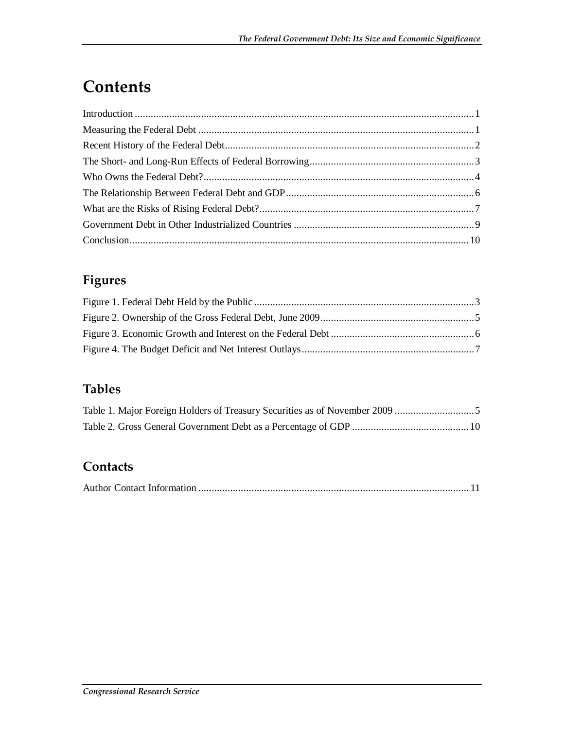## **Contents**

#### **Figures**

#### **Tables**

#### **Contacts**

|--|--|--|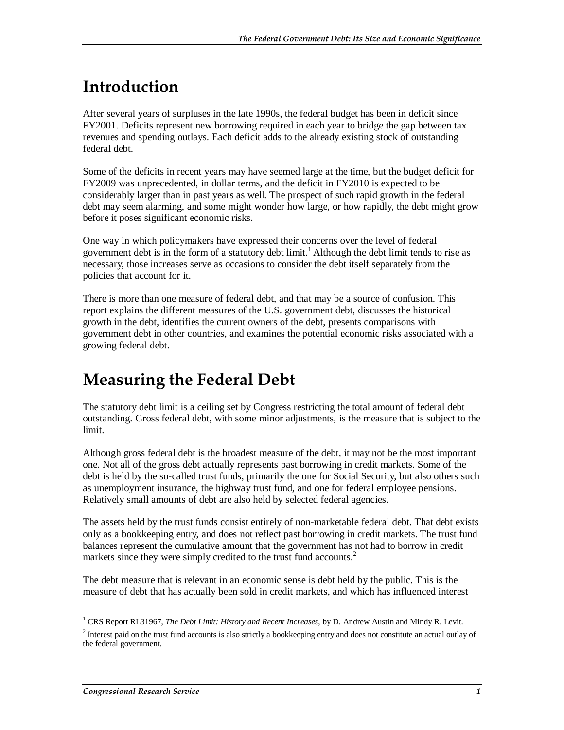## **Introduction**

After several years of surpluses in the late 1990s, the federal budget has been in deficit since FY2001. Deficits represent new borrowing required in each year to bridge the gap between tax revenues and spending outlays. Each deficit adds to the already existing stock of outstanding federal debt.

Some of the deficits in recent years may have seemed large at the time, but the budget deficit for FY2009 was unprecedented, in dollar terms, and the deficit in FY2010 is expected to be considerably larger than in past years as well. The prospect of such rapid growth in the federal debt may seem alarming, and some might wonder how large, or how rapidly, the debt might grow before it poses significant economic risks.

One way in which policymakers have expressed their concerns over the level of federal government debt is in the form of a statutory debt limit.<sup>1</sup> Although the debt limit tends to rise as necessary, those increases serve as occasions to consider the debt itself separately from the policies that account for it.

There is more than one measure of federal debt, and that may be a source of confusion. This report explains the different measures of the U.S. government debt, discusses the historical growth in the debt, identifies the current owners of the debt, presents comparisons with government debt in other countries, and examines the potential economic risks associated with a growing federal debt.

### **Measuring the Federal Debt**

The statutory debt limit is a ceiling set by Congress restricting the total amount of federal debt outstanding. Gross federal debt, with some minor adjustments, is the measure that is subject to the limit.

Although gross federal debt is the broadest measure of the debt, it may not be the most important one. Not all of the gross debt actually represents past borrowing in credit markets. Some of the debt is held by the so-called trust funds, primarily the one for Social Security, but also others such as unemployment insurance, the highway trust fund, and one for federal employee pensions. Relatively small amounts of debt are also held by selected federal agencies.

The assets held by the trust funds consist entirely of non-marketable federal debt. That debt exists only as a bookkeeping entry, and does not reflect past borrowing in credit markets. The trust fund balances represent the cumulative amount that the government has not had to borrow in credit markets since they were simply credited to the trust fund accounts.<sup>2</sup>

The debt measure that is relevant in an economic sense is debt held by the public. This is the measure of debt that has actually been sold in credit markets, and which has influenced interest

 1 CRS Report RL31967, *The Debt Limit: History and Recent Increases*, by D. Andrew Austin and Mindy R. Levit.

<sup>&</sup>lt;sup>2</sup> Interest paid on the trust fund accounts is also strictly a bookkeeping entry and does not constitute an actual outlay of the federal government.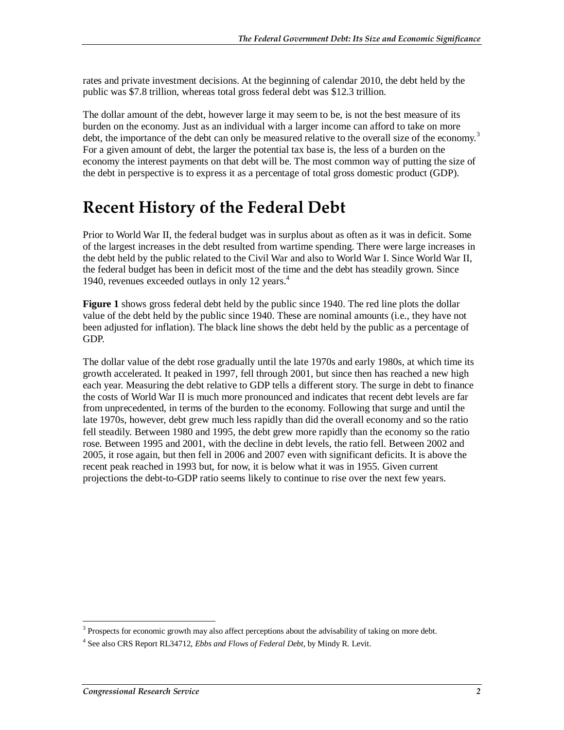rates and private investment decisions. At the beginning of calendar 2010, the debt held by the public was \$7.8 trillion, whereas total gross federal debt was \$12.3 trillion.

The dollar amount of the debt, however large it may seem to be, is not the best measure of its burden on the economy. Just as an individual with a larger income can afford to take on more debt, the importance of the debt can only be measured relative to the overall size of the economy.<sup>3</sup> For a given amount of debt, the larger the potential tax base is, the less of a burden on the economy the interest payments on that debt will be. The most common way of putting the size of the debt in perspective is to express it as a percentage of total gross domestic product (GDP).

### **Recent History of the Federal Debt**

Prior to World War II, the federal budget was in surplus about as often as it was in deficit. Some of the largest increases in the debt resulted from wartime spending. There were large increases in the debt held by the public related to the Civil War and also to World War I. Since World War II, the federal budget has been in deficit most of the time and the debt has steadily grown. Since 1940, revenues exceeded outlays in only 12 years.<sup>4</sup>

**Figure 1** shows gross federal debt held by the public since 1940. The red line plots the dollar value of the debt held by the public since 1940. These are nominal amounts (i.e., they have not been adjusted for inflation). The black line shows the debt held by the public as a percentage of GDP.

The dollar value of the debt rose gradually until the late 1970s and early 1980s, at which time its growth accelerated. It peaked in 1997, fell through 2001, but since then has reached a new high each year. Measuring the debt relative to GDP tells a different story. The surge in debt to finance the costs of World War II is much more pronounced and indicates that recent debt levels are far from unprecedented, in terms of the burden to the economy. Following that surge and until the late 1970s, however, debt grew much less rapidly than did the overall economy and so the ratio fell steadily. Between 1980 and 1995, the debt grew more rapidly than the economy so the ratio rose. Between 1995 and 2001, with the decline in debt levels, the ratio fell. Between 2002 and 2005, it rose again, but then fell in 2006 and 2007 even with significant deficits. It is above the recent peak reached in 1993 but, for now, it is below what it was in 1955. Given current projections the debt-to-GDP ratio seems likely to continue to rise over the next few years.

The 3 Prospects for economic growth may also affect perceptions about the advisability of taking on more debt.

<sup>4</sup> See also CRS Report RL34712, *Ebbs and Flows of Federal Debt*, by Mindy R. Levit.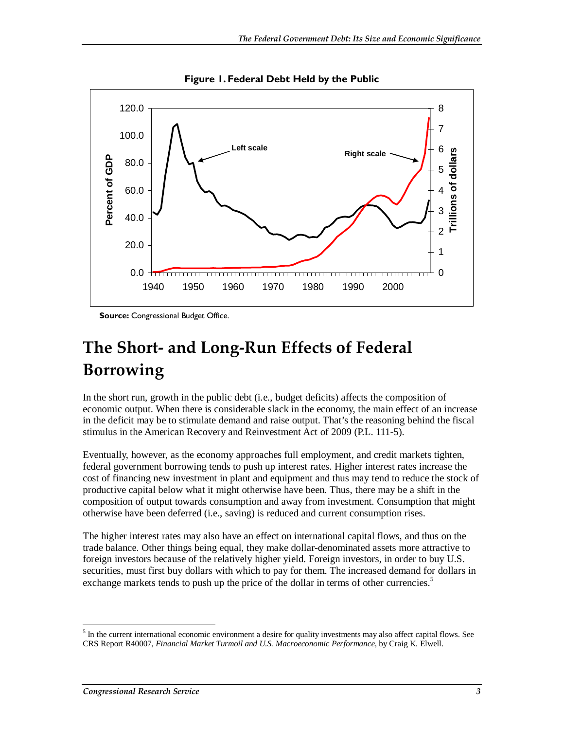

**Figure 1. Federal Debt Held by the Public** 

**Source:** Congressional Budget Office.

## **The Short- and Long-Run Effects of Federal Borrowing**

In the short run, growth in the public debt (i.e., budget deficits) affects the composition of economic output. When there is considerable slack in the economy, the main effect of an increase in the deficit may be to stimulate demand and raise output. That's the reasoning behind the fiscal stimulus in the American Recovery and Reinvestment Act of 2009 (P.L. 111-5).

Eventually, however, as the economy approaches full employment, and credit markets tighten, federal government borrowing tends to push up interest rates. Higher interest rates increase the cost of financing new investment in plant and equipment and thus may tend to reduce the stock of productive capital below what it might otherwise have been. Thus, there may be a shift in the composition of output towards consumption and away from investment. Consumption that might otherwise have been deferred (i.e., saving) is reduced and current consumption rises.

The higher interest rates may also have an effect on international capital flows, and thus on the trade balance. Other things being equal, they make dollar-denominated assets more attractive to foreign investors because of the relatively higher yield. Foreign investors, in order to buy U.S. securities, must first buy dollars with which to pay for them. The increased demand for dollars in exchange markets tends to push up the price of the dollar in terms of other currencies.<sup>5</sup>

-

 $<sup>5</sup>$  In the current international economic environment a desire for quality investments may also affect capital flows. See</sup> CRS Report R40007, *Financial Market Turmoil and U.S. Macroeconomic Performance*, by Craig K. Elwell.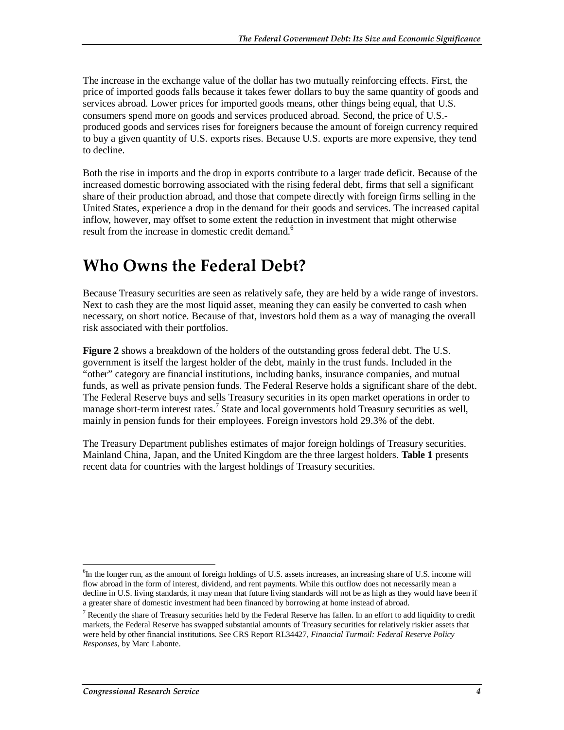The increase in the exchange value of the dollar has two mutually reinforcing effects. First, the price of imported goods falls because it takes fewer dollars to buy the same quantity of goods and services abroad. Lower prices for imported goods means, other things being equal, that U.S. consumers spend more on goods and services produced abroad. Second, the price of U.S. produced goods and services rises for foreigners because the amount of foreign currency required to buy a given quantity of U.S. exports rises. Because U.S. exports are more expensive, they tend to decline.

Both the rise in imports and the drop in exports contribute to a larger trade deficit. Because of the increased domestic borrowing associated with the rising federal debt, firms that sell a significant share of their production abroad, and those that compete directly with foreign firms selling in the United States, experience a drop in the demand for their goods and services. The increased capital inflow, however, may offset to some extent the reduction in investment that might otherwise result from the increase in domestic credit demand.<sup>6</sup>

### **Who Owns the Federal Debt?**

Because Treasury securities are seen as relatively safe, they are held by a wide range of investors. Next to cash they are the most liquid asset, meaning they can easily be converted to cash when necessary, on short notice. Because of that, investors hold them as a way of managing the overall risk associated with their portfolios.

**Figure 2** shows a breakdown of the holders of the outstanding gross federal debt. The U.S. government is itself the largest holder of the debt, mainly in the trust funds. Included in the "other" category are financial institutions, including banks, insurance companies, and mutual funds, as well as private pension funds. The Federal Reserve holds a significant share of the debt. The Federal Reserve buys and sells Treasury securities in its open market operations in order to manage short-term interest rates.<sup>7</sup> State and local governments hold Treasury securities as well, mainly in pension funds for their employees. Foreign investors hold 29.3% of the debt.

The Treasury Department publishes estimates of major foreign holdings of Treasury securities. Mainland China, Japan, and the United Kingdom are the three largest holders. **Table 1** presents recent data for countries with the largest holdings of Treasury securities.

<sup>-</sup><sup>6</sup>In the longer run, as the amount of foreign holdings of U.S. assets increases, an increasing share of U.S. income will flow abroad in the form of interest, dividend, and rent payments. While this outflow does not necessarily mean a decline in U.S. living standards, it may mean that future living standards will not be as high as they would have been if a greater share of domestic investment had been financed by borrowing at home instead of abroad.

<sup>&</sup>lt;sup>7</sup> Recently the share of Treasury securities held by the Federal Reserve has fallen. In an effort to add liquidity to credit markets, the Federal Reserve has swapped substantial amounts of Treasury securities for relatively riskier assets that were held by other financial institutions. See CRS Report RL34427, *Financial Turmoil: Federal Reserve Policy Responses*, by Marc Labonte.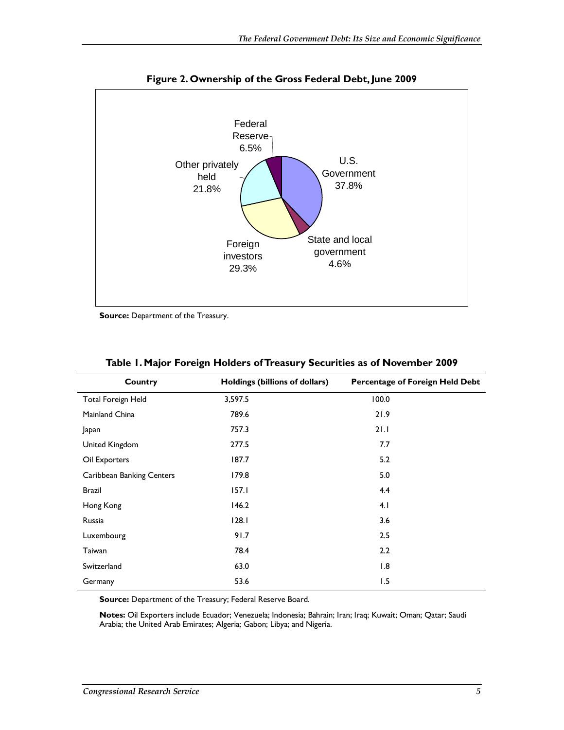

**Figure 2. Ownership of the Gross Federal Debt, June 2009** 

**Source: Department of the Treasury.** 

| Country                   | Holdings (billions of dollars) | <b>Percentage of Foreign Held Debt</b> |
|---------------------------|--------------------------------|----------------------------------------|
| <b>Total Foreign Held</b> | 3,597.5                        | 100.0                                  |
| Mainland China            | 789.6                          | 21.9                                   |
| Japan                     | 757.3                          | 21.1                                   |
| United Kingdom            | 277.5                          | 7.7                                    |
| Oil Exporters             | 187.7                          | 5.2                                    |
| Caribbean Banking Centers | 179.8                          | 5.0                                    |
| Brazil                    | 157.1                          | 4.4                                    |
| Hong Kong                 | 146.2                          | 4.1                                    |
| Russia                    | 128.1                          | 3.6                                    |
| Luxembourg                | 91.7                           | 2.5                                    |
| Taiwan                    | 78.4                           | 2.2                                    |
| Switzerland               | 63.0                           | 1.8                                    |
| Germany                   | 53.6                           | 1.5                                    |

|  |  | Table 1. Major Foreign Holders of Treasury Securities as of November 2009 |  |  |
|--|--|---------------------------------------------------------------------------|--|--|
|  |  |                                                                           |  |  |

**Source:** Department of the Treasury; Federal Reserve Board.

**Notes:** Oil Exporters include Ecuador; Venezuela; Indonesia; Bahrain; Iran; Iraq; Kuwait; Oman; Qatar; Saudi Arabia; the United Arab Emirates; Algeria; Gabon; Libya; and Nigeria.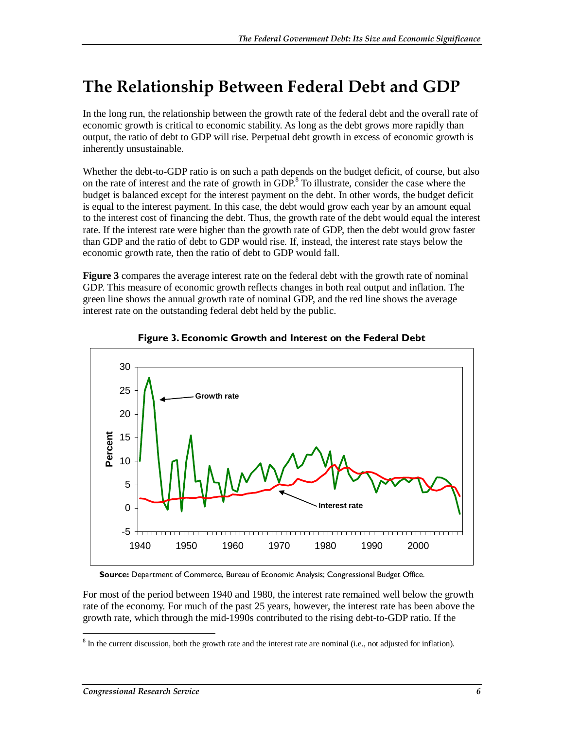### **The Relationship Between Federal Debt and GDP**

In the long run, the relationship between the growth rate of the federal debt and the overall rate of economic growth is critical to economic stability. As long as the debt grows more rapidly than output, the ratio of debt to GDP will rise. Perpetual debt growth in excess of economic growth is inherently unsustainable.

Whether the debt-to-GDP ratio is on such a path depends on the budget deficit, of course, but also on the rate of interest and the rate of growth in GDP.<sup>8</sup> To illustrate, consider the case where the budget is balanced except for the interest payment on the debt. In other words, the budget deficit is equal to the interest payment. In this case, the debt would grow each year by an amount equal to the interest cost of financing the debt. Thus, the growth rate of the debt would equal the interest rate. If the interest rate were higher than the growth rate of GDP, then the debt would grow faster than GDP and the ratio of debt to GDP would rise. If, instead, the interest rate stays below the economic growth rate, then the ratio of debt to GDP would fall.

**Figure 3** compares the average interest rate on the federal debt with the growth rate of nominal GDP. This measure of economic growth reflects changes in both real output and inflation. The green line shows the annual growth rate of nominal GDP, and the red line shows the average interest rate on the outstanding federal debt held by the public.





**Source:** Department of Commerce, Bureau of Economic Analysis; Congressional Budget Office.

For most of the period between 1940 and 1980, the interest rate remained well below the growth rate of the economy. For much of the past 25 years, however, the interest rate has been above the growth rate, which through the mid-1990s contributed to the rising debt-to-GDP ratio. If the

<sup>&</sup>lt;sup>8</sup> In the current discussion, both the growth rate and the interest rate are nominal (i.e., not adjusted for inflation).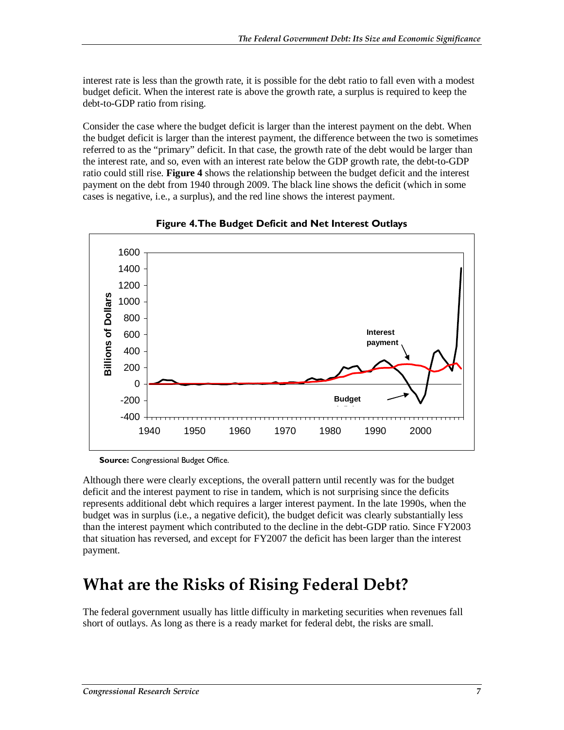interest rate is less than the growth rate, it is possible for the debt ratio to fall even with a modest budget deficit. When the interest rate is above the growth rate, a surplus is required to keep the debt-to-GDP ratio from rising.

Consider the case where the budget deficit is larger than the interest payment on the debt. When the budget deficit is larger than the interest payment, the difference between the two is sometimes referred to as the "primary" deficit. In that case, the growth rate of the debt would be larger than the interest rate, and so, even with an interest rate below the GDP growth rate, the debt-to-GDP ratio could still rise. **Figure 4** shows the relationship between the budget deficit and the interest payment on the debt from 1940 through 2009. The black line shows the deficit (which in some cases is negative, i.e., a surplus), and the red line shows the interest payment.



**Figure 4. The Budget Deficit and Net Interest Outlays** 

**Source:** Congressional Budget Office.

Although there were clearly exceptions, the overall pattern until recently was for the budget deficit and the interest payment to rise in tandem, which is not surprising since the deficits represents additional debt which requires a larger interest payment. In the late 1990s, when the budget was in surplus (i.e., a negative deficit), the budget deficit was clearly substantially less than the interest payment which contributed to the decline in the debt-GDP ratio. Since FY2003 that situation has reversed, and except for FY2007 the deficit has been larger than the interest payment.

### **What are the Risks of Rising Federal Debt?**

The federal government usually has little difficulty in marketing securities when revenues fall short of outlays. As long as there is a ready market for federal debt, the risks are small.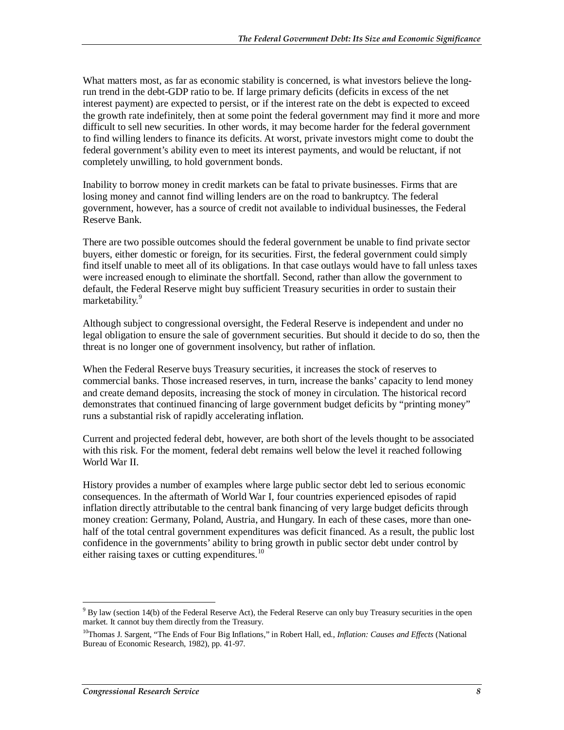What matters most, as far as economic stability is concerned, is what investors believe the longrun trend in the debt-GDP ratio to be. If large primary deficits (deficits in excess of the net interest payment) are expected to persist, or if the interest rate on the debt is expected to exceed the growth rate indefinitely, then at some point the federal government may find it more and more difficult to sell new securities. In other words, it may become harder for the federal government to find willing lenders to finance its deficits. At worst, private investors might come to doubt the federal government's ability even to meet its interest payments, and would be reluctant, if not completely unwilling, to hold government bonds.

Inability to borrow money in credit markets can be fatal to private businesses. Firms that are losing money and cannot find willing lenders are on the road to bankruptcy. The federal government, however, has a source of credit not available to individual businesses, the Federal Reserve Bank.

There are two possible outcomes should the federal government be unable to find private sector buyers, either domestic or foreign, for its securities. First, the federal government could simply find itself unable to meet all of its obligations. In that case outlays would have to fall unless taxes were increased enough to eliminate the shortfall. Second, rather than allow the government to default, the Federal Reserve might buy sufficient Treasury securities in order to sustain their marketability.<sup>9</sup>

Although subject to congressional oversight, the Federal Reserve is independent and under no legal obligation to ensure the sale of government securities. But should it decide to do so, then the threat is no longer one of government insolvency, but rather of inflation.

When the Federal Reserve buys Treasury securities, it increases the stock of reserves to commercial banks. Those increased reserves, in turn, increase the banks' capacity to lend money and create demand deposits, increasing the stock of money in circulation. The historical record demonstrates that continued financing of large government budget deficits by "printing money" runs a substantial risk of rapidly accelerating inflation.

Current and projected federal debt, however, are both short of the levels thought to be associated with this risk. For the moment, federal debt remains well below the level it reached following World War II.

History provides a number of examples where large public sector debt led to serious economic consequences. In the aftermath of World War I, four countries experienced episodes of rapid inflation directly attributable to the central bank financing of very large budget deficits through money creation: Germany, Poland, Austria, and Hungary. In each of these cases, more than onehalf of the total central government expenditures was deficit financed. As a result, the public lost confidence in the governments' ability to bring growth in public sector debt under control by either raising taxes or cutting expenditures.<sup>10</sup>

<sup>-</sup> $9$  By law (section 14(b) of the Federal Reserve Act), the Federal Reserve can only buy Treasury securities in the open market. It cannot buy them directly from the Treasury.

<sup>10</sup>Thomas J. Sargent, "The Ends of Four Big Inflations," in Robert Hall, ed., *Inflation: Causes and Effects* (National Bureau of Economic Research, 1982), pp. 41-97.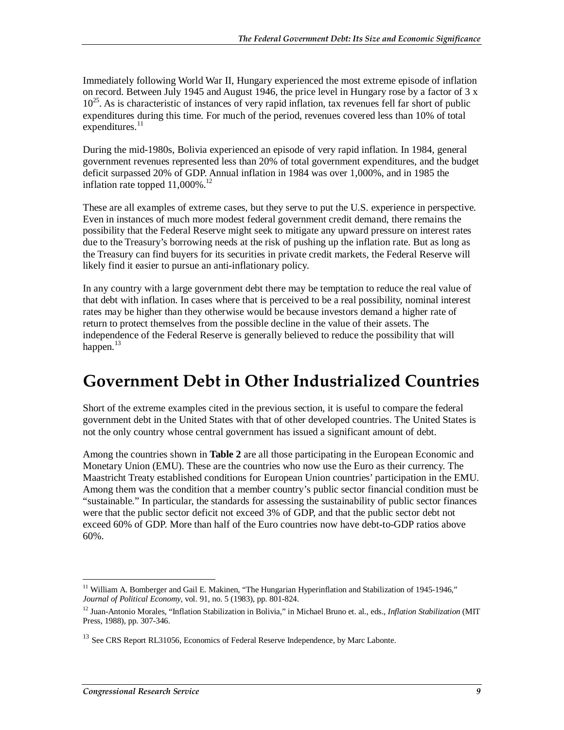Immediately following World War II, Hungary experienced the most extreme episode of inflation on record. Between July 1945 and August 1946, the price level in Hungary rose by a factor of 3 x  $10^{25}$ . As is characteristic of instances of very rapid inflation, tax revenues fell far short of public expenditures during this time. For much of the period, revenues covered less than 10% of total expenditures.<sup>11</sup>

During the mid-1980s, Bolivia experienced an episode of very rapid inflation. In 1984, general government revenues represented less than 20% of total government expenditures, and the budget deficit surpassed 20% of GDP. Annual inflation in 1984 was over 1,000%, and in 1985 the inflation rate topped  $11,000\%$ <sup>12</sup>

These are all examples of extreme cases, but they serve to put the U.S. experience in perspective. Even in instances of much more modest federal government credit demand, there remains the possibility that the Federal Reserve might seek to mitigate any upward pressure on interest rates due to the Treasury's borrowing needs at the risk of pushing up the inflation rate. But as long as the Treasury can find buyers for its securities in private credit markets, the Federal Reserve will likely find it easier to pursue an anti-inflationary policy.

In any country with a large government debt there may be temptation to reduce the real value of that debt with inflation. In cases where that is perceived to be a real possibility, nominal interest rates may be higher than they otherwise would be because investors demand a higher rate of return to protect themselves from the possible decline in the value of their assets. The independence of the Federal Reserve is generally believed to reduce the possibility that will happen. $^{13}$ 

#### **Government Debt in Other Industrialized Countries**

Short of the extreme examples cited in the previous section, it is useful to compare the federal government debt in the United States with that of other developed countries. The United States is not the only country whose central government has issued a significant amount of debt.

Among the countries shown in **Table 2** are all those participating in the European Economic and Monetary Union (EMU). These are the countries who now use the Euro as their currency. The Maastricht Treaty established conditions for European Union countries' participation in the EMU. Among them was the condition that a member country's public sector financial condition must be "sustainable." In particular, the standards for assessing the sustainability of public sector finances were that the public sector deficit not exceed 3% of GDP, and that the public sector debt not exceed 60% of GDP. More than half of the Euro countries now have debt-to-GDP ratios above 60%.

<sup>-</sup><sup>11</sup> William A. Bomberger and Gail E. Makinen, "The Hungarian Hyperinflation and Stabilization of 1945-1946," *Journal of Political Economy*, vol. 91, no. 5 (1983), pp. 801-824.

<sup>12</sup> Juan-Antonio Morales, "Inflation Stabilization in Bolivia," in Michael Bruno et. al., eds., *Inflation Stabilization* (MIT Press, 1988), pp. 307-346.

<sup>&</sup>lt;sup>13</sup> See CRS Report RL31056, Economics of Federal Reserve Independence, by Marc Labonte.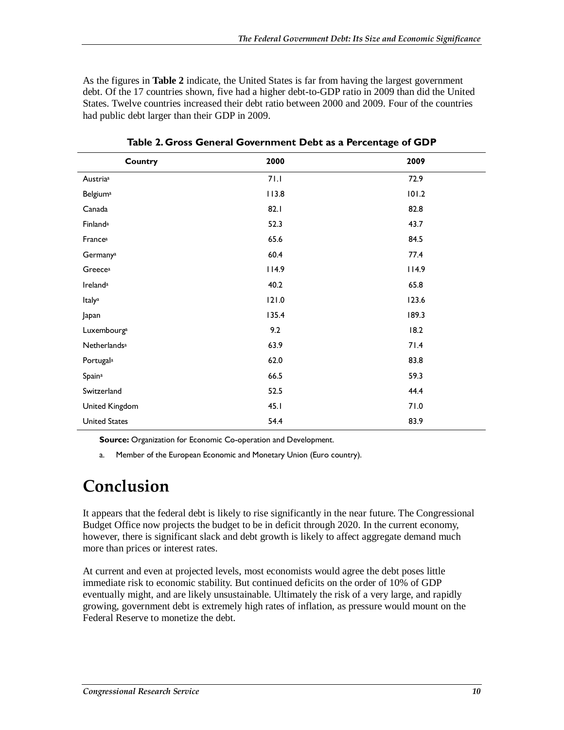As the figures in **Table 2** indicate, the United States is far from having the largest government debt. Of the 17 countries shown, five had a higher debt-to-GDP ratio in 2009 than did the United States. Twelve countries increased their debt ratio between 2000 and 2009. Four of the countries had public debt larger than their GDP in 2009.

| Country                         | 2000  | 2009  |
|---------------------------------|-------|-------|
| Austria <sup>a</sup>            | 71.1  | 72.9  |
| <b>Belgium</b> <sup>a</sup>     | 113.8 | 101.2 |
| Canada                          | 82.1  | 82.8  |
| Finland <sup>a</sup>            | 52.3  | 43.7  |
| Francea                         | 65.6  | 84.5  |
| Germanya                        | 60.4  | 77.4  |
| Greecea                         | 114.9 | 114.9 |
| Ireland <sup>a</sup>            | 40.2  | 65.8  |
| Italya                          | 121.0 | 123.6 |
| Japan                           | 135.4 | 189.3 |
| Luxembourga                     | 9.2   | 18.2  |
| <b>Netherlands</b> <sup>a</sup> | 63.9  | 71.4  |
| Portugala                       | 62.0  | 83.8  |
| Spaina                          | 66.5  | 59.3  |
| Switzerland                     | 52.5  | 44.4  |
| United Kingdom                  | 45.1  | 71.0  |
| <b>United States</b>            | 54.4  | 83.9  |

**Table 2. Gross General Government Debt as a Percentage of GDP** 

**Source:** Organization for Economic Co-operation and Development.

a. Member of the European Economic and Monetary Union (Euro country).

#### **Conclusion**

It appears that the federal debt is likely to rise significantly in the near future. The Congressional Budget Office now projects the budget to be in deficit through 2020. In the current economy, however, there is significant slack and debt growth is likely to affect aggregate demand much more than prices or interest rates.

At current and even at projected levels, most economists would agree the debt poses little immediate risk to economic stability. But continued deficits on the order of 10% of GDP eventually might, and are likely unsustainable. Ultimately the risk of a very large, and rapidly growing, government debt is extremely high rates of inflation, as pressure would mount on the Federal Reserve to monetize the debt.